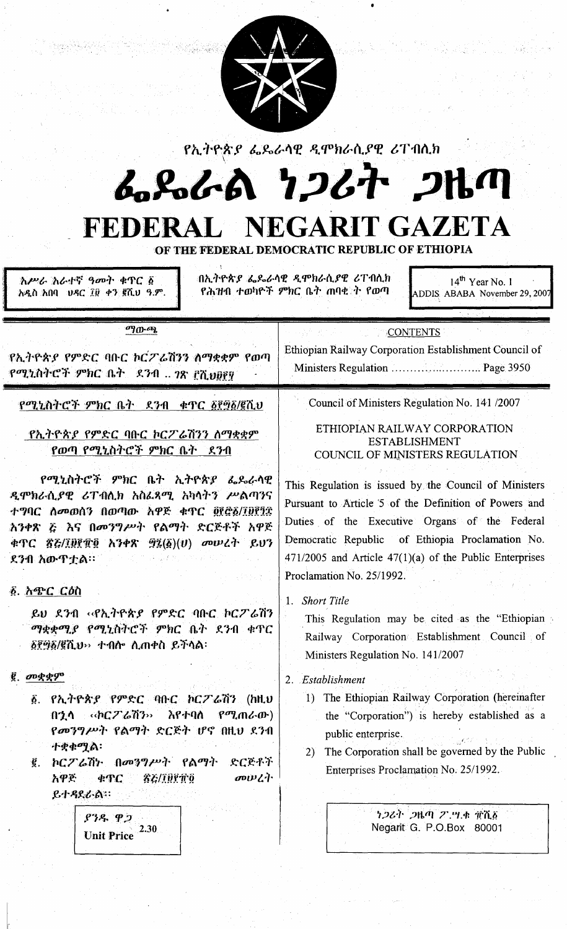

የኢትዮጵያ ፌዴራሳዊ ዲሞክራሲያዊ ሪፐብሲክ

# 6.866A 7267 2HM FEDERAL NEGARIT GAZETA

OF THE FEDERAL DEMOCRATIC REPUBLIC OF ETHIOPIA

አሥራ አራተኛ ዓመት ቁጥር δ አዲስ አበባ - ሁዳር ፲፱ -ቀን ፪ሺህ -ዓ.ም. በኢትዮጵያ ፌዴራሳዊ ዲሞክራሲያዊ ሪፐብሲክ የሕዝብ ተወካዮች ምክር ቤት ጠባቂ ት የወጣ

 $14<sup>th</sup>$  Year No. 1 ADDIS ABABA November 29, 2007

ுறு ஒ

የኢትዮጵያ የምድር ባቡር ኮርፖሬሽንን ስማቋቋም የወጣ የሚኒስትሮች ምክር ቤት 231 .. 78 FA UPFY

የሚኒስትሮች ምክር ቤት ደንብ ቀዋር ፩፻፵፩/፪ሺህ

የኢትዮጵያ የምድር ባቡር ኮርፖሬሽንን ስማቋቋም የወጣ የሚኒስትሮች ምክር ቤት ደንብ

የሚኒስትሮች ምክር ቤት ኢትዮጵያ ፌዶራሳዊ ዲሞክራሲያዊ ሪፐብሲክ አስፌጻሚ አካሳትን ሥልጣንና ተግባር ስመወሰን በወጣው አዋጅ ቁጥር ዐ፻፸፩/፲፱፻፺፰ አንቀጽ ፭ እና በመንግሥት የልማት ድርጅቶች አዋጅ  $\#TC$   $\bar{g}Z/\bar{l}D\bar{l}T\bar{g}$   $\bar{h}3\bar{p}R$   $\bar{q}2(\bar{g})(U)$  or  $U\bar{G}$   $\bar{g}D3$ ደንብ አውጥቷል።

፩. አጭር ርዕስ

ይህ ደንብ ‹‹የኢትዮጵያ የምድር ባቡር ኮርፖሬሽን ማቋቋሚያ የሚኒስትሮች ምክር ቤት ደንብ ቀጥር δየማδ/፪ሺህ›› ተብሎ ሲጠቀስ ይችላል፡

 $\vec{g}$ . መቋቋም

- ፩. የኢትዮጵያ የምድር ባቡር ክርፖሬሽን (ከዚህ በኋላ ‹‹ኮርፖሬሽን›› ሕየተባለ የሚጠራው) የመንግሥት የልማት ድርጅት ሆኖ በዚህ ደንብ ተቋቁሚል፡
- *ኮርፖሬሽነ በመንግሥት የልማት* ድርጅቶች  $\vec{g}$ , *aow Li* አዋጅ  $\ast$  TC *RE/10946* ይተዳደራል።



Council of Ministers Regulation No. 141 /2007

**CONTENTS** Ethiopian Railway Corporation Establishment Council of

> ETHIOPIAN RAILWAY CORPORATION **ESTABLISHMENT** COUNCIL OF MINISTERS REGULATION

This Regulation is issued by the Council of Ministers Pursuant to Article 5 of the Definition of Powers and Duties of the Executive Organs of the Federal Democratic Republic of Ethiopia Proclamation No.  $471/2005$  and Article  $47(1)(a)$  of the Public Enterprises Proclamation No. 25/1992.

1. Short Title

This Regulation may be cited as the "Ethiopian Railway Corporation Establishment Council of Ministers Regulation No. 141/2007

#### 2. Establishment

- 1) The Ethiopian Railway Corporation (hereinafter the "Corporation") is hereby established as a public enterprise.
- 2) The Corporation shall be governed by the Public Enterprises Proclamation No. 25/1992.

うつとう つばの ク ツ キ 並んる Negarit G. P.O.Box 80001